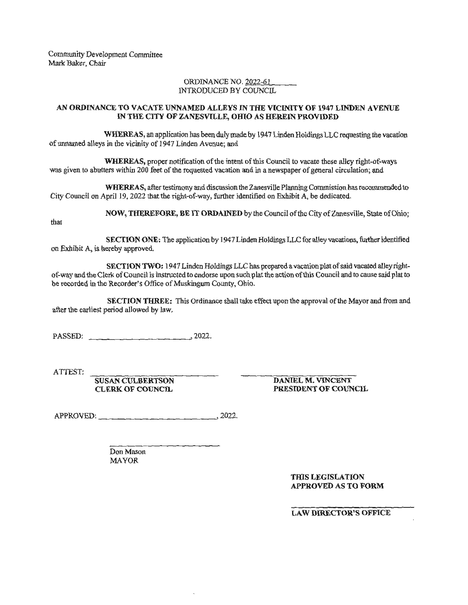Community Development Committee Mark Baker, Chair

## ORDINANCE NO. 2022-61 INTRODUCED BY COUNCIL

## **AN ORDINANCE TO VACATE UNNAMED ALLEYS IN THE VICINITY OF 1947 LINDEN A VENUE IN THE CITY OF ZANESVILLE, omo AS HEREIN PROVIDED**

**WHEREAS,** an application bas been duly made by 1947 Linden Holdings LLC requesting the vacation of unnamed alleys in the vicinity of 1947 Linden Avenue; and

**WHEREAS,** proper notification of the intent of this Council to vacate these alley right-of-ways was given to abutters within 200 feet of the requested vacation and in a newspaper of general circulation; and

**WHEREAS,** after testimony and discussion the Zanesville Planning Commission has recommended to City Council on April 19, 2022 that the right-of-way, further identified on Exhibit A, be dedicated.

**NOW, THEREFORE, BE IT ORDAINED** by the Council of the City of Zanesville, State of Ohio;

that

**SECTION ONE:** The application by 1947 Linden Holdings LLC for alley vacations, further identified on Exhibit A, is hereby approved.

**SECTION TWO:** 1947 Linden Holdings LLC has prepared a vacation plat of said vacated alleyrightof-way and the Clerk of Council is instructed to endorse upon such plat the action of this Council and to cause said plat to be recorded in the Recorder's Office of Muskingum County, Ohio.

**SECTION THREE:** This Ordinance shall take effect upon the approval of the Mayor and from and after the earliest period allowed by law.

PASSED: 2022.

ATTEST:

**SUSAN CULBERTSON CLERK OF COUNCIL** 

**DANIEL M. VINCENT PRESIDENT OF COUNCIL** 

APPROVED: 2022.

Don Mason MAYOR

> **THIS LEGISLATION APPROVED AS TO FORM**

**LAW DIRECTOR'S OFFICE**